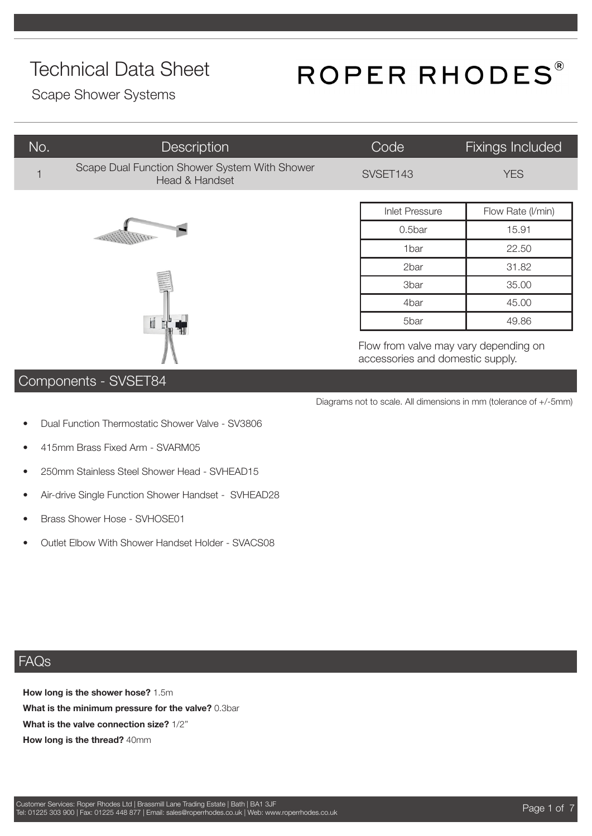## ROPER RHODES®

Scape Shower Systems

| No.            | <b>Description</b>                                              | Code                                                                      | <b>Fixings Included</b> |
|----------------|-----------------------------------------------------------------|---------------------------------------------------------------------------|-------------------------|
| $\overline{1}$ | Scape Dual Function Shower System With Shower<br>Head & Handset | SVSET143                                                                  | <b>YES</b>              |
|                |                                                                 |                                                                           |                         |
|                |                                                                 | <b>Inlet Pressure</b>                                                     | Flow Rate (I/min)       |
| I              |                                                                 | 0.5bar                                                                    | 15.91                   |
|                |                                                                 | 1bar                                                                      | 22.50                   |
|                |                                                                 | 2bar                                                                      | 31.82                   |
|                |                                                                 | 3bar                                                                      | 35.00                   |
|                |                                                                 | 4bar                                                                      | 45.00                   |
|                | İ                                                               | 5bar                                                                      | 49.86                   |
|                |                                                                 | Flow from valve may vary depending on<br>accessories and domestic supply. |                         |

#### Components - SVSET84

- Diagrams not to scale. All dimensions in mm (tolerance of +/-5mm)
- Dual Function Thermostatic Shower Valve SV3806
- 415mm Brass Fixed Arm SVARM05
- 250mm Stainless Steel Shower Head SVHEAD15
- Air-drive Single Function Shower Handset SVHEAD28
- Brass Shower Hose SVHOSE01
- Outlet Elbow With Shower Handset Holder SVACS08

#### FAQs

**How long is the shower hose?** 1.5m **What is the minimum pressure for the valve?** 0.3bar **What is the valve connection size?** 1/2'' **How long is the thread?** 40mm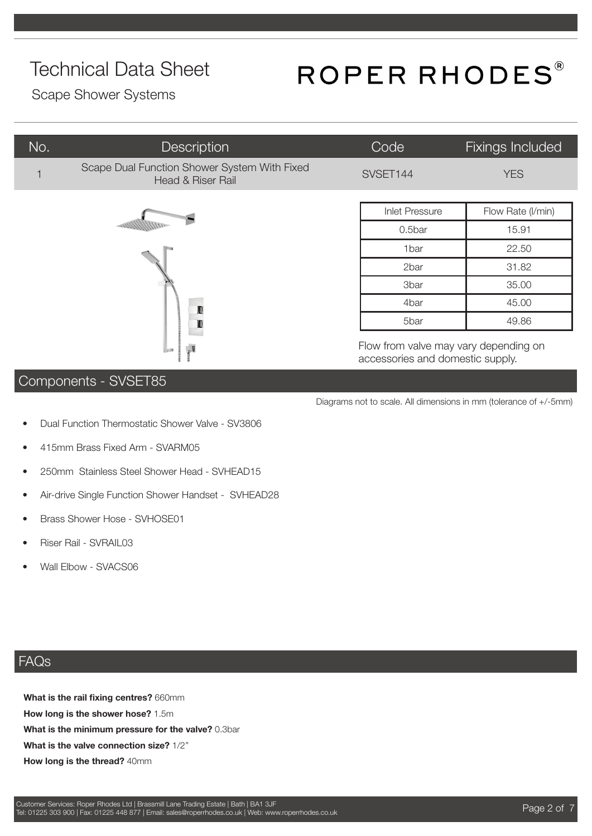## ROPER RHODES®

Scape Shower Systems

| No. | <b>Description</b>                                                | Code                  | Fixings Included  |
|-----|-------------------------------------------------------------------|-----------------------|-------------------|
|     | Scape Dual Function Shower System With Fixed<br>Head & Riser Rail | SVSET144              | <b>YES</b>        |
|     |                                                                   |                       |                   |
|     |                                                                   | <b>Inlet Pressure</b> | Flow Rate (I/min) |
|     |                                                                   | 0.5bar                | 15.91             |
|     |                                                                   | 1bar                  | 22.50             |
|     |                                                                   | 2bar                  | 31.82             |
|     |                                                                   | 3bar                  | 35.00             |
|     |                                                                   | 4bar                  | 45.00             |

Flow from valve may vary depending on accessories and domestic supply.

5bar 49.86

Diagrams not to scale. All dimensions in mm (tolerance of +/-5mm)

#### Components - SVSET85

- Dual Function Thermostatic Shower Valve SV3806
- 415mm Brass Fixed Arm SVARM05
- 250mm Stainless Steel Shower Head SVHEAD15
- Air-drive Single Function Shower Handset SVHEAD28
- Brass Shower Hose SVHOSE01
- Riser Rail SVRAIL03
- Wall Elbow SVACS06

#### FAQs

**What is the rail fixing centres?** 660mm **How long is the shower hose?** 1.5m **What is the minimum pressure for the valve?** 0.3bar **What is the valve connection size?** 1/2'' **How long is the thread?** 40mm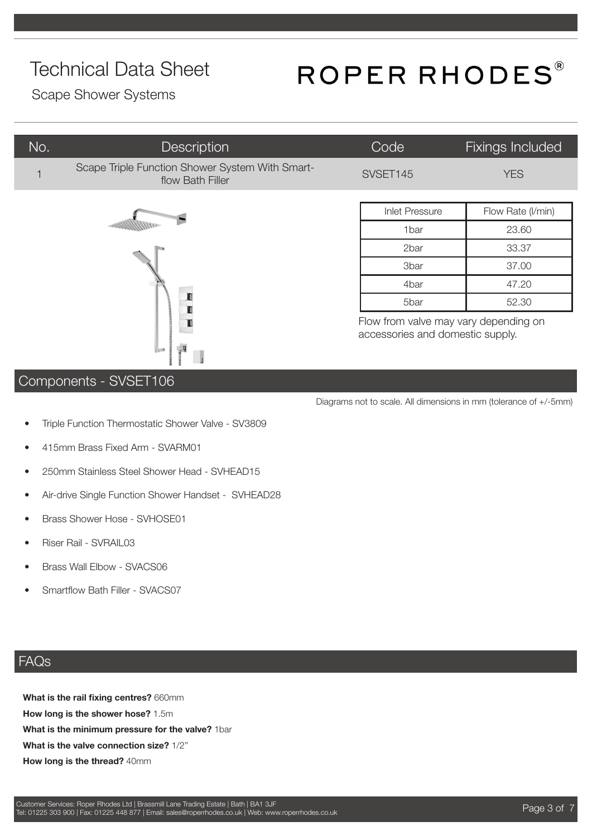## ROPER RHODES®

Scape Shower Systems

| No. | Description                                                         | Code                  | <b>Fixings Included</b> |
|-----|---------------------------------------------------------------------|-----------------------|-------------------------|
|     | Scape Triple Function Shower System With Smart-<br>flow Bath Filler | SVSET145              | <b>YES</b>              |
|     |                                                                     | <b>Inlet Pressure</b> | Flow Rate (I/min)       |
|     |                                                                     | 1 <sub>bar</sub>      | 23.60                   |
|     |                                                                     | 2bar                  | 33.37                   |



| <b>Inlet Pressure</b> | Flow Rate (I/min) |
|-----------------------|-------------------|
| 1bar                  | 23.60             |
| 2bar                  | 33.37             |
| 3 <sub>bar</sub>      | 37.00             |
| 4bar                  | 47.20             |
| 5bar                  | 52.30             |

Flow from valve may vary depending on accessories and domestic supply.

Diagrams not to scale. All dimensions in mm (tolerance of +/-5mm)

#### Components - SVSET106

- Triple Function Thermostatic Shower Valve SV3809
- 415mm Brass Fixed Arm SVARM01
- 250mm Stainless Steel Shower Head SVHEAD15
- Air-drive Single Function Shower Handset SVHEAD28
- Brass Shower Hose SVHOSE01
- Riser Rail SVRAIL03
- Brass Wall Elbow SVACS06
- Smartflow Bath Filler SVACS07

#### FAQs

**What is the rail fixing centres?** 660mm **How long is the shower hose?** 1.5m **What is the minimum pressure for the valve?** 1bar **What is the valve connection size?** 1/2'' **How long is the thread?** 40mm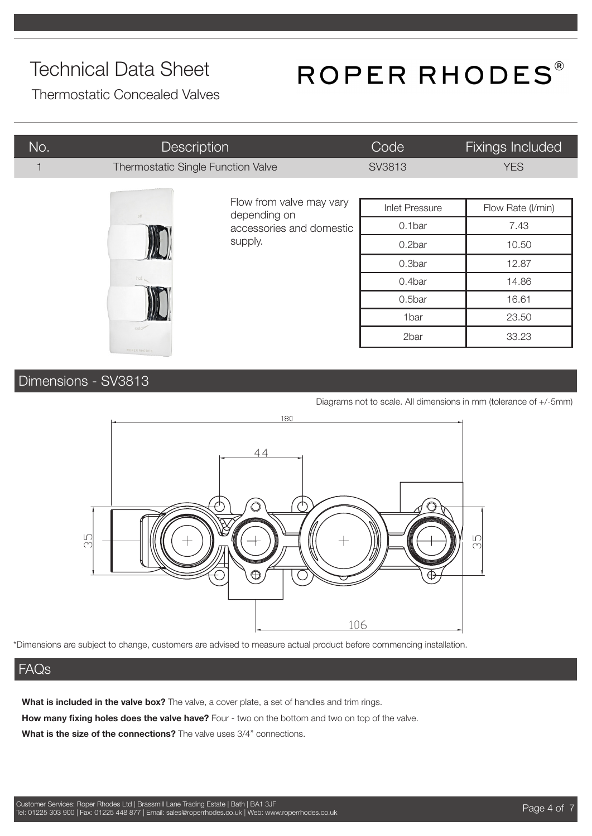## ROPER RHODES®

Thermostatic Concealed Valves

| No. | <b>Description</b>                 |                                          | Code                  | <b>Fixings Included</b> |
|-----|------------------------------------|------------------------------------------|-----------------------|-------------------------|
| 1   | Thermostatic Single Function Valve |                                          | SV3813                | <b>YES</b>              |
|     |                                    |                                          |                       |                         |
|     | off                                | Flow from valve may vary<br>depending on | <b>Inlet Pressure</b> | Flow Rate (I/min)       |
|     |                                    | accessories and domestic                 | 0.1bar                | 7.43                    |
|     |                                    | supply.                                  | 0.2bar                | 10.50                   |
|     |                                    |                                          | 0.3bar                | 12.87                   |
|     |                                    |                                          | 0.4bar                | 14.86                   |
|     |                                    |                                          | 0.5bar                | 16.61                   |
|     | cold <sup>1</sup>                  |                                          | 1bar                  | 23.50                   |
|     |                                    |                                          | 2bar                  | 33.23                   |
|     | ROPER RHODES                       |                                          |                       |                         |

Dimensions - SV3813

Diagrams not to scale. All dimensions in mm (tolerance of +/-5mm)



\*Dimensions are subject to change, customers are advised to measure actual product before commencing installation.

#### FAQs

What is included in the valve box? The valve, a cover plate, a set of handles and trim rings.

**How many fixing holes does the valve have?** Four - two on the bottom and two on top of the valve.

**What is the size of the connections?** The valve uses 3/4" connections.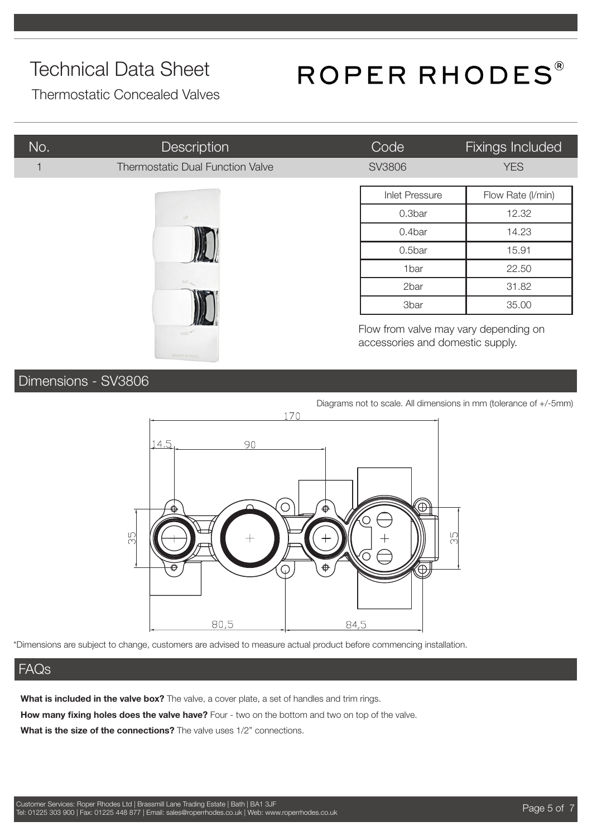## ROPER RHODES®

Thermostatic Concealed Valves

| No. | Description                             | Code                             | Fixings Included                      |
|-----|-----------------------------------------|----------------------------------|---------------------------------------|
|     | <b>Thermostatic Dual Function Valve</b> | <b>SV3806</b>                    | <b>YES</b>                            |
|     |                                         | <b>Inlet Pressure</b>            | Flow Rate (I/min)                     |
|     | off                                     | 0.3bar                           | 12.32                                 |
|     | hot                                     | 0.4bar                           | 14.23                                 |
|     |                                         | 0.5bar                           | 15.91                                 |
|     |                                         | 1bar                             | 22.50                                 |
|     |                                         | 2bar                             | 31.82                                 |
|     |                                         | 3bar                             | 35.00                                 |
|     | cold <sup>®</sup>                       | accessories and domestic supply. | Flow from valve may vary depending on |

#### Dimensions - SV3806

Diagrams not to scale. All dimensions in mm (tolerance of +/-5mm)



\*Dimensions are subject to change, customers are advised to measure actual product before commencing installation.

#### FAQs

**What is included in the valve box?** The valve, a cover plate, a set of handles and trim rings.

**How many fixing holes does the valve have?** Four - two on the bottom and two on top of the valve.

**What is the size of the connections?** The valve uses 1/2" connections.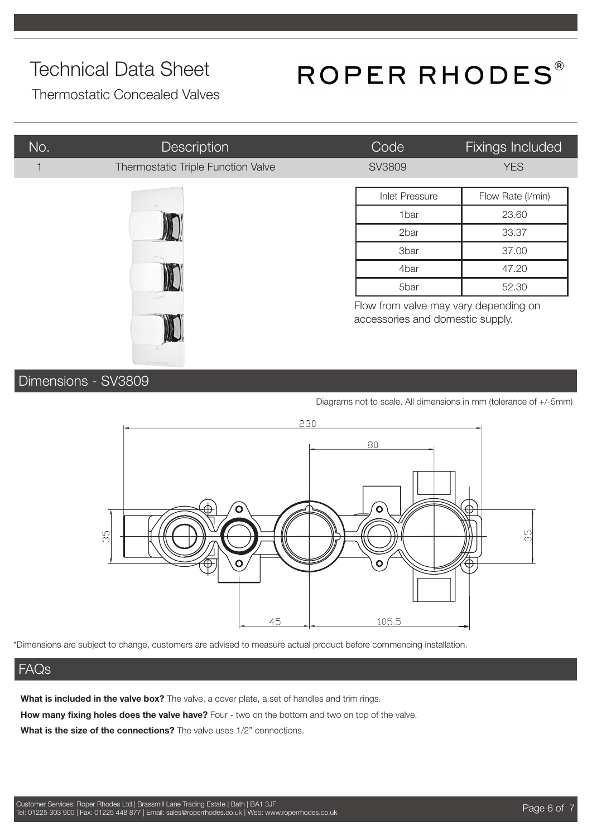## ROPER RHODES®

Thermostatic Concealed Valves

| No. | <b>Description</b>                 | Code                                                                      | Fixings Included  |
|-----|------------------------------------|---------------------------------------------------------------------------|-------------------|
|     | Thermostatic Triple Function Valve | <b>SV3809</b>                                                             | <b>YES</b>        |
|     |                                    | <b>Inlet Pressure</b>                                                     | Flow Rate (I/min) |
|     |                                    | 1bar                                                                      | 23.60             |
|     |                                    | 2bar                                                                      | 33.37             |
|     |                                    | <b>3bar</b>                                                               | 37.00             |
|     |                                    | 4bar                                                                      | 47.20             |
|     |                                    | 5bar                                                                      | 52.30             |
|     |                                    | Flow from valve may vary depending on<br>accessories and domestic supply. |                   |

Dimensions - SV3809

Diagrams not to scale. All dimensions in mm (tolerance of +/-5mm)



\*Dimensions are subject to change, customers are advised to measure actual product before commencing installation.

#### FAQs

**What is included in the valve box?** The valve, a cover plate, a set of handles and trim rings. **How many fixing holes does the valve have?** Four - two on the bottom and two on top of the valve.

**What is the size of the connections?** The valve uses 1/2" connections.

**KALL**